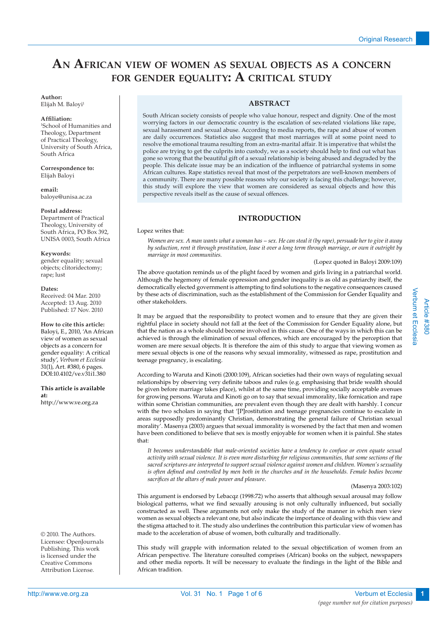# **An African view of women as sexual objects as a concern for gender equality: A critical study**

**Author:**  Elijah M. Baloyi<sup>1</sup>

# **Affiliation:**

1 School of Humanities and Theology, Department of Practical Theology, University of South Africa, South Africa

**Correspondence to:**  Elijah Baloyi

**email:** baloye@unisa.ac.za

## **Postal address:**

Department of Practical Theology, University of South Africa, PO Box 392, UNISA 0003, South Africa

#### **Keywords:**

gender equality; sexual objects; clitoridectomy; rape; lust

## **Dates:**

Received: 04 Mar. 2010 Accepted: 13 Aug. 2010 Published: 17 Nov. 2010

# **How to cite this article:**

Baloyi, E., 2010, 'An African view of women as sexual objects as a concern for gender equality: A critical study', *Verbum et Ecclesia* 31(1), Art. #380, 6 pages. DOI:10.4102/ve.v31i1.380

#### **This article is available at:**

http://www.ve.org.za

© 2010. The Authors. Licensee: OpenJournals Publishing. This work is licensed under the Creative Commons Attribution License.

South African society consists of people who value honour, respect and dignity. One of the most worrying factors in our democratic country is the escalation of sex-related violations like rape, sexual harassment and sexual abuse. According to media reports, the rape and abuse of women are daily occurrences. Statistics also suggest that most marriages will at some point need to resolve the emotional trauma resulting from an extra-marital affair. It is imperative that whilst the police are trying to get the culprits into custody, we as a society should help to find out what has gone so wrong that the beautiful gift of a sexual relationship is being abused and degraded by the people. This delicate issue may be an indication of the influence of patriarchal systems in some African cultures. Rape statistics reveal that most of the perpetrators are well-known members of a community. There are many possible reasons why our society is facing this challenge; however, this study will explore the view that women are considered as sexual objects and how this perspective reveals itself as the cause of sexual offences.

# **INTRODUCTION**

## Lopez writes that:

*Women are sex. A man wants what a woman has − sex. He can steal it (by rape), persuade her to give it away by seduction, rent it through prostitution, lease it over a long term through marriage, or own it outright by marriage in most communities.*

(Lopez quoted in Baloyi 2009:109)

The above quotation reminds us of the plight faced by women and girls living in a patriarchal world. Although the hegemony of female oppression and gender inequality is as old as patriarchy itself, the democratically elected government is attempting to find solutions to the negative consequences caused by these acts of discrimination, such as the establishment of the Commission for Gender Equality and other stakeholders.

It may be argued that the responsibility to protect women and to ensure that they are given their rightful place in society should not fall at the feet of the Commission for Gender Equality alone, but that the nation as a whole should become involved in this cause. One of the ways in which this can be achieved is through the elimination of sexual offences, which are encouraged by the perception that women are mere sexual objects. It is therefore the aim of this study to argue that viewing women as mere sexual objects is one of the reasons why sexual immorality, witnessed as rape, prostitution and teenage pregnancy, is escalating.

According to Waruta and Kinoti (2000:109), African societies had their own ways of regulating sexual relationships by observing very definite taboos and rules (e.g. emphasising that bride wealth should be given before marriage takes place), whilst at the same time, providing socially acceptable avenues for growing persons. Waruta and Kinoti go on to say that sexual immorality, like fornication and rape within some Christian communities, are prevalent even though they are dealt with harshly. I concur with the two scholars in saying that '[P]rostitution and teenage pregnancies continue to escalate in areas supposedly predominantly Christian, demonstrating the general failure of Christian sexual morality'. Masenya (2003) argues that sexual immorality is worsened by the fact that men and women have been conditioned to believe that sex is mostly enjoyable for women when it is painful. She states that:

*It becomes understandable that male-oriented societies have a tendency to confuse or even equate sexual activity with sexual violence. It is even more disturbing for religious communities, that some sections of the sacred scriptures are interpreted to support sexual violence against women and children. Women's sexuality is often defined and controlled by men both in the churches and in the households. Female bodies become sacrifices at the altars of male power and pleasure*.

# (Masenya 2003:102)

This argument is endorsed by Lebacqz (1998:72) who asserts that although sexual arousal may follow biological patterns, what we find sexually arousing is not only culturally influenced, but socially constructed as well. These arguments not only make the study of the manner in which men view women as sexual objects a relevant one, but also indicate the importance of dealing with this view and the stigma attached to it. The study also underlines the contribution this particular view of women has made to the acceleration of abuse of women, both culturally and traditionally.

This study will grapple with information related to the sexual objectification of women from an African perspective. The literature consulted comprises (African) books on the subject, newspapers and other media reports. It will be necessary to evaluate the findings in the light of the Bible and African tradition.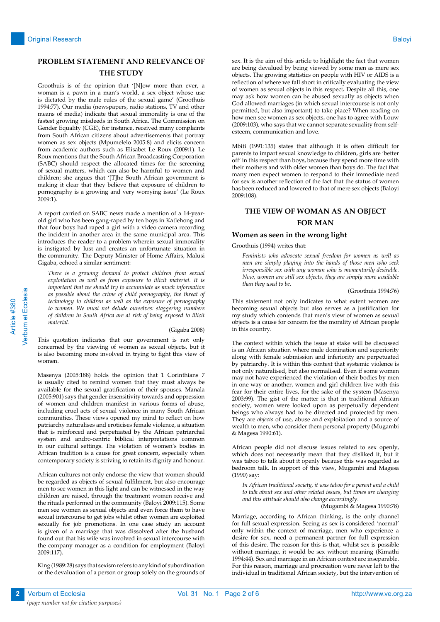# **PROBLEM STATEMENT AND RELEVANCE OF THE STUDY**

Groothuis is of the opinion that '[N]ow more than ever, a woman is a pawn in a man's world, a sex object whose use is dictated by the male rules of the sexual game' (Groothuis 1994:77). Our media (newspapers, radio stations, TV and other means of media) indicate that sexual immorality is one of the fastest growing misdeeds in South Africa. The Commission on Gender Equality (CGE), for instance, received many complaints from South African citizens about advertisements that portray women as sex objects (Mpumelelo 2005:8) and elicits concern from academic authors such as Elisabet Le Roux (2009:1). Le Roux mentions that the South African Broadcasting Corporation (SABC) should respect the allocated times for the screening of sexual matters, which can also be harmful to women and children; she argues that '[T]he South African government is making it clear that they believe that exposure of children to pornography is a growing and very worrying issue' (Le Roux  $2009:1$ ).

A report carried on SABC news made a mention of a 14-yearold girl who has been gang-raped by ten boys in Katlehong and that four boys had raped a girl with a video camera recording the incident in another area in the same municipal area. This introduces the reader to a problem wherein sexual immorality is instigated by lust and creates an unfortunate situation in the community. The Deputy Minister of Home Affairs, Malusi Gigaba, echoed a similar sentiment:

*There is a growing demand to protect children from sexual exploitation as well as from exposure to illicit material. It is important that we should try to accumulate as much information as possible about the crime of child pornography, the threat of technology to children as well as the exposure of pornography to women. We must not delude ourselves: staggering numbers of children in South Africa are at risk of being exposed to illicit material.*

#### (Gigaba 2008)

This quotation indicates that our government is not only concerned by the viewing of women as sexual objects, but it is also becoming more involved in trying to fight this view of women.

Masenya (2005:188) holds the opinion that 1 Corinthians 7 is usually cited to remind women that they must always be available for the sexual gratification of their spouses. Manala (2005:901) says that gender insensitivity towards and oppression of women and children manifest in various forms of abuse, including cruel acts of sexual violence in many South African communities. These views opened my mind to reflect on how patriarchy naturalises and eroticises female violence, a situation that is reinforced and perpetuated by the African patriarchal system and andro-centric biblical interpretations common in our cultural settings. The violation of women's bodies in African tradition is a cause for great concern, especially when contemporary society is striving to retain its dignity and honour.

African cultures not only endorse the view that women should be regarded as objects of sexual fulfilment, but also encourage men to see women in this light and can be witnessed in the way children are raised, through the treatment women receive and the rituals performed in the community (Baloyi 2009:115). Some men see women as sexual objects and even force them to have sexual intercourse to get jobs whilst other women are exploited sexually for job promotions. In one case study an account is given of a marriage that was dissolved after the husband found out that his wife was involved in sexual intercourse with the company manager as a condition for employment (Baloyi 2009:117).

King (1989:28) says that sexism refers to any kind of subordination or the devaluation of a person or group solely on the grounds of sex. It is the aim of this article to highlight the fact that women are being devalued by being viewed by some men as mere sex objects. The growing statistics on people with HIV or AIDS is a reflection of where we fall short in critically evaluating the view of women as sexual objects in this respect**.** Despite all this, one may ask how women can be abused sexually as objects when God allowed marriages (in which sexual intercourse is not only permitted, but also important) to take place? When reading on how men see women as sex objects, one has to agree with Louw (2009:103), who says that we cannot separate sexuality from selfesteem, communication and love.

Mbiti (1991:135) states that although it is often difficult for parents to impart sexual knowledge to children, girls are 'better off' in this respect than boys, because they spend more time with their mothers and with older women than boys do. The fact that many men expect women to respond to their immediate need for sex is another reflection of the fact that the status of women has been reduced and lowered to that of mere sex objects (Baloyi 2009:108).

# **THE VIEW OF WOMAN AS AN OBJECT FOR MAN**

# **Women as seen in the wrong light**

Groothuis (1994) writes that:

*Feminists who advocate sexual freedom for women as well as men are simply playing into the hands of those men who seek irresponsible sex with any woman who is momentarily desirable. Now, women are still sex objects, they are simply more available than they used to be.*

#### (Groothuis 1994:76)

This statement not only indicates to what extent women are becoming sexual objects but also serves as a justification for my study which contends that men's view of women as sexual objects is a cause for concern for the morality of African people in this country.

The context within which the issue at stake will be discussed is an African situation where male domination and superiority along with female submission and inferiority are perpetuated by patriarchy. It is within this context that systemic violence is not only naturalised, but also normalised. Even if some women may not have experienced the violation of their bodies by men in one way or another, women and girl children live with this fear for their entire lives, for the sake of the system (Masenya 2003:99). The gist of the matter is that in traditional African society, women were looked upon as perpetually dependent beings who always had to be directed and protected by men. They are *objects* of use, abuse and exploitation and a source of wealth to men, who consider them personal property (Mugambi & Magesa 1990:61).

African people did not discuss issues related to sex openly, which does not necessarily mean that they disliked it, but it was taboo to talk about it openly because this was regarded as bedroom talk. In support of this view, Mugambi and Magesa (1990) say:

*In African traditional society, it was taboo for a parent and a child to talk about sex and other related issues, but times are changing and this attitude should also change accordingl*y.

#### (Mugambi & Magesa 1990:78)

Marriage, according to African thinking, is the only channel for full sexual expression. Seeing as sex is considered 'normal' only within the context of marriage, men who experience a desire for sex, need a permanent partner for full expression of this desire. The reason for this is that, whilst sex is possible without marriage, it would be sex without meaning (Kimathi 1994:44). Sex and marriage in an African context are inseparable. For this reason, marriage and procreation were never left to the individual in traditional African society, but the intervention of

Verbum et Ecclesia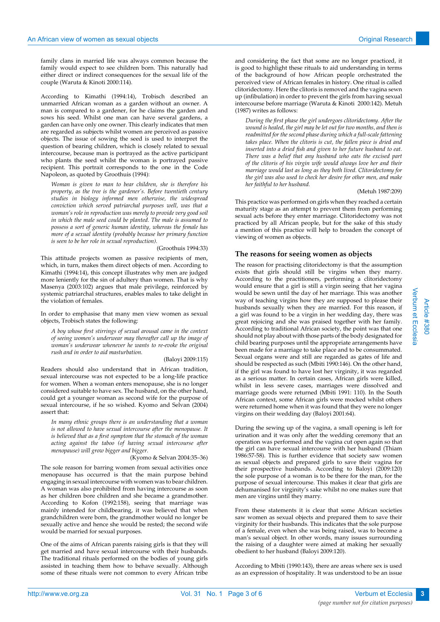family clans in married life was always common because the family would expect to see children born. This naturally had either direct or indirect consequences for the sexual life of the couple (Waruta & Kinoti 2000:114).

According to Kimathi (1994:14), Trobisch described an unmarried African woman as a garden without an owner. A man is compared to a gardener, for he claims the garden and sows his seed. Whilst one man can have several gardens, a garden can have only one owner. This clearly indicates that men are regarded as subjects whilst women are perceived as passive objects. The issue of sowing the seed is used to interpret the question of bearing children, which is closely related to sexual intercourse, because man is portrayed as the active participant who plants the seed whilst the woman is portrayed passive recipient. This portrait corresponds to the one in the Code Napoleon, as quoted by Groothuis (1994):

*Woman is given to man to bear children, she is therefore his property, as the tree is the gardener's. Before twentieth century studies in biology informed men otherwise, the widespread conviction which served patriarchal purposes well, was that a woman's role in reproduction was merely to provide very good soil in which the male seed could be planted. The male is assumed to possess a sort of generic human identity, whereas the female has more of a sexual identity (probably because her primary function is seen to be her role in sexual reproduction).*

#### (Groothuis 1994:33)

This attitude projects women as passive recipients of men, which, in turn, makes them direct objects of men. According to Kimathi (1994:14), this concept illustrates why men are judged more leniently for the sin of adultery than women. That is why Masenya (2003:102) argues that male privilege, reinforced by systemic patriarchal structures, enables males to take delight in the violation of females.

In order to emphasise that many men view women as sexual objects, Trobisch states the following:

*A boy whose first stirrings of sexual arousal came in the context of seeing women's underwear may thereafter call up the image of woman's underwear whenever he wants to re-evoke the original rush and in order to aid masturbation.*

## (Baloyi 2009:115)

Readers should also understand that in African tradition, sexual intercourse was not expected to be a long-life practice for women. When a woman enters menopause, she is no longer considered suitable to have sex. The husband, on the other hand, could get a younger woman as second wife for the purpose of sexual intercourse, if he so wished. Kyomo and Selvan (2004) assert that:

*In many ethnic groups there is an understanding that a woman is not allowed to have sexual intercourse after the menopause. It is believed that as a first symptom that the stomach of the woman acting against the taboo (of having sexual intercourse after menopause) will grow bigger and bigger.*

#### (Kyomo & Selvan 2004:35–36)

The sole reason for barring women from sexual activities once menopause has occurred is that the main purpose behind engaging in sexual intercourse with women was to bear children. A woman was also prohibited from having intercourse as soon as her children bore children and she became a grandmother. According to Kofon (1992:158), seeing that marriage was mainly intended for childbearing, it was believed that when grandchildren were born, the grandmother would no longer be sexually active and hence she would be rested; the second wife would be married for sexual purposes.

One of the aims of African parents raising girls is that they will get married and have sexual intercourse with their husbands. The traditional rituals performed on the bodies of young girls assisted in teaching them how to behave sexually. Although some of these rituals were not common to every African tribe and considering the fact that some are no longer practiced, it is good to highlight these rituals to aid understanding in terms of the background of how African people orchestrated the perceived view of African females in history. One ritual is called clitoridectomy. Here the clitoris is removed and the vagina sewn up (infibulation) in order to prevent the girls from having sexual intercourse before marriage (Waruta & Kinoti 2000:142). Metuh (1987) writes as follows:

*During the first phase the girl undergoes clitoridectomy. After the wound is healed, the girl may be let out for two months, and then is readmitted for the second phase during which a full-scale fattening takes place. When the clitoris is cut, the fallen piece is dried and inserted into a dried fish and given to her future husband to eat. There was a belief that any husband who eats the excised part of the clitoris of his virgin wife would always love her and their marriage would last as long as they both lived. Clitoridectomy for the girl was also used to check her desire for other men, and make her faithful to her husband.*

#### (Metuh 1987:209)

This practice was performed on girls when they reached a certain maturity stage as an attempt to prevent them from performing sexual acts before they enter marriage. Clitoridectomy was not practiced by all African people, but for the sake of this study a mention of this practice will help to broaden the concept of viewing of women as objects.

# **The reasons for seeing women as objects**

The reason for practising clitoridectomy is that the assumption exists that girls should still be virgins when they marry. According to the practitioners, performing a clitoridectomy would ensure that a girl is still a virgin seeing that her vagina would be sewn until the day of her marriage. This was another way of teaching virgins how they are supposed to please their husbands sexually when they are married. For this reason, if a girl was found to be a virgin in her wedding day, there was great rejoicing and she was praised together with her family. According to traditional African society, the point was that one should not play about with those parts of the body designated for child bearing purposes until the appropriate arrangements have been made for a marriage to take place and to be consummated. Sexual organs were and still are regarded as gates of life and should be respected as such (Mbiti 1990:146). On the other hand, if the girl was found to have lost her virginity, it was regarded as a serious matter. In certain cases, African girls were killed, whilst in less severe cases, marriages were dissolved and marriage goods were returned (Mbiti 1991: 110). In the South African context, some African girls were mocked whilst others were returned home when it was found that they were no longer virgins on their wedding day (Baloyi 2001:64).

During the sewing up of the vagina, a small opening is left for urination and it was only after the wedding ceremony that an operation was performed and the vagina cut open again so that the girl can have sexual intercourse with her husband (Thiam 1986:57-58). This is further evidence that society saw women as sexual objects and prepared girls to save their vagina for their prospective husbands. According to Baloyi (2009:120) the sole purpose of a woman is to be there for the man, for the purpose of sexual intercourse. This makes it clear that girls are dehumanised for virginity's sake whilst no one makes sure that men are virgins until they marry.

From these statements it is clear that some African societies saw women as sexual objects and prepared them to save their virginity for their husbands. This indicates that the sole purpose of a female, even when she was being raised, was to become a man's sexual object. In other words, many issues surrounding the raising of a daughter were aimed at making her sexually obedient to her husband (Baloyi 2009:120).

According to Mbiti (1990:143), there are areas where sex is used as an expression of hospitality. It was understood to be an issue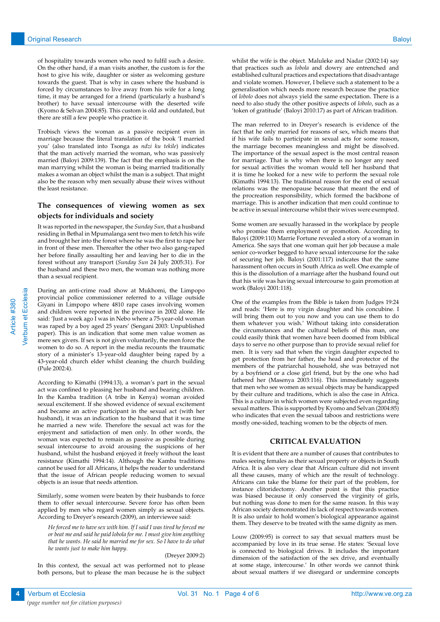of hospitality towards women who need to fulfil such a desire. On the other hand, if a man visits another, the custom is for the host to give his wife, daughter or sister as welcoming gesture towards the guest. That is why in cases where the husband is forced by circumstances to live away from his wife for a long time, it may be arranged for a friend (particularly a husband's brother) to have sexual intercourse with the deserted wife (Kyomo & Selvan 2004:85). This custom is old and outdated, but there are still a few people who practice it.

Trobisch views the woman as a passive recipient even in marriage because the literal translation of the book 'I married you' (also translated into Tsonga as *ndzi ku tekile*) indicates that the man actively married the woman, who was passively married (Baloyi 2009:139). The fact that the emphasis is on the man marrying whilst the woman is being married traditionally makes a woman an object whilst the man is a subject. That might also be the reason why men sexually abuse their wives without the least resistance.

# **The consequences of viewing women as sex objects for individuals and society**

It was reported in the newspaper, the *Sunday Sun*, that a husband residing in Bethal in Mpumalanga sent two men to fetch his wife and brought her into the forest where he was the first to rape her in front of these men. Thereafter the other two also gang-raped her before finally assaulting her and leaving her to die in the forest without any transport (*Sunday Sun* 24 July 2005:31). For the husband and these two men, the woman was nothing more than a sexual recipient.

During an anti-crime road show at Mukhomi, the Limpopo provincial police commissioner referred to a village outside Giyani in Limpopo where 4810 rape cases involving women and children were reported in the province in 2002 alone. He said: 'Just a week ago I was in Nebo where a 75-year-old woman was raped by a boy aged 25 years' (Sengani 2003: Unpublished paper). This is an indication that some men value women as mere sex givers. If sex is not given voluntarily, the men force the women to do so. A report in the media recounts the traumatic story of a minister's 13-year-old daughter being raped by a 43-year-old church elder whilst cleaning the church building (Pule 2002:4).

According to Kimathi (1994:13), a woman's part in the sexual act was confined to pleasing her husband and bearing children. In the Kamba tradition (A tribe in Kenya) woman avoided sexual excitement. If she showed evidence of sexual excitement and became an active participant in the sexual act (with her husband), it was an indication to the husband that it was time he married a new wife. Therefore the sexual act was for the enjoyment and satisfaction of men only. In other words, the woman was expected to remain as passive as possible during sexual intercourse to avoid arousing the suspicions of her husband, whilst the husband enjoyed it freely without the least resistance (Kimathi 1994:14). Although the Kamba traditions cannot be used for all Africans, it helps the reader to understand that the issue of African people reducing women to sexual objects is an issue that needs attention.

Similarly, some women were beaten by their husbands to force them to offer sexual intercourse. Severe force has often been applied by men who regard women simply as sexual objects. According to Dreyer's research (2009), an interviewee said:

*He forced me to have sex with him. If I said I was tired he forced me or beat me and said he paid lobola for me. I must give him anything that he wants. He said he married me for sex. So I have to do what he wants just to make him happy.*

#### (Dreyer 2009:2)

In this context, the sexual act was performed not to please both persons, but to please the man because he is the subject whilst the wife is the object. Maluleke and Nadar (2002:14) say that practices such as *lobola* and dowry are entrenched and established cultural practices and expectations that disadvantage and violate women. However, I believe such a statement to be a generalisation which needs more research because the practice of *lobolo* does not always yield the same expectation. There is a need to also study the other positive aspects of *lobolo*, such as a 'token of gratitude' (Baloyi 2010:17) as part of African tradition.

The man referred to in Dreyer's research is evidence of the fact that he only married for reasons of sex, which means that if his wife fails to participate in sexual acts for some reason, the marriage becomes meaningless and might be dissolved. The importance of the sexual aspect is the most central reason for marriage. That is why when there is no longer any need for sexual activities the woman would tell her husband that it is time he looked for a new wife to perform the sexual role (Kimathi 1994:13). The traditional reason for the end of sexual relations was the menopause because that meant the end of the procreation responsibility, which formed the backbone of marriage. This is another indication that men could continue to be active in sexual intercourse whilst their wives were exempted.

Some women are sexually harassed in the workplace by people who promise them employment or promotion. According to Baloyi (2009:110) Marrie Fortune revealed a story of a woman in America. She says that one woman quit her job because a male senior co-worker begged to have sexual intercourse for the sake of securing her job. Baloyi (2001:117) indicates that the same harassment often occurs in South Africa as well. One example of this is the dissolution of a marriage after the husband found out that his wife was having sexual intercourse to gain promotion at work (Baloyi 2001:118).

One of the examples from the Bible is taken from Judges 19:24 and reads: 'Here is my virgin daughter and his concubine. I will bring them out to you now and you can use them to do them whatever you wish.' Without taking into consideration the circumstances and the cultural beliefs of this man, one could easily think that women have been doomed from biblical days to serve no other purpose than to provide sexual relief for men. It is very sad that when the virgin daughter expected to get protection from her father, the head and protector of the members of the patriarchal household, she was betrayed not by a boyfriend or a close girl friend, but by the one who had fathered her (Masenya 2003:116). This immediately suggests that men who see women as sexual objects may be handicapped by their culture and traditions, which is also the case in Africa. This is a culture in which women were subjected even regarding sexual matters. This is supported by Kyomo and Selvan (2004:85) who indicates that even the sexual taboos and restrictions were mostly one-sided, teaching women to be the objects of men.

# **CRITICAL EVALUATION**

It is evident that there are a number of causes that contributes to males seeing females as their sexual property or objects in South Africa. It is also very clear that African culture did not invent all these causes, many of which are the result of technology. Africans can take the blame for their part of the problem, for instance clitoridectomy. Another point is that this practice was biased because it only conserved the virginity of girls, but nothing was done to men for the same reason. In this way African society demonstrated its lack of respect towards women. It is also unfair to hold women's biological appearance against them. They deserve to be treated with the same dignity as men.

Louw (2009:95) is correct to say that sexual matters must be accompanied by love in its true sense. He states: 'Sexual love is connected to biological drives. It includes the important dimension of the satisfaction of the sex drive, and eventually at some stage, intercourse.' In other words we cannot think about sexual matters if we disregard or undermine concepts

Verbum et Ecclesia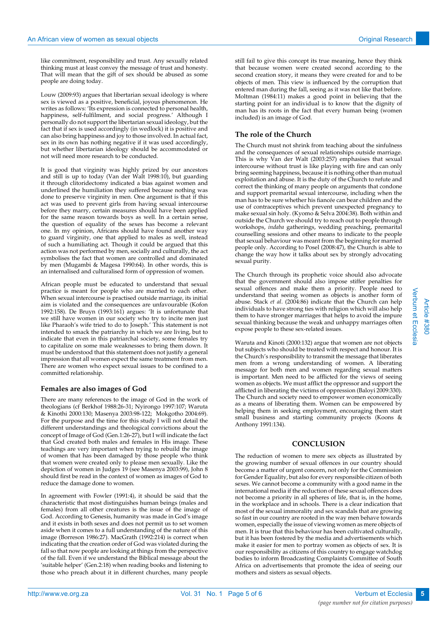like commitment, responsibility and trust. Any sexually related thinking must at least convey the message of trust and honesty. That will mean that the gift of sex should be abused as some people are doing today.

Louw (2009:93) argues that libertarian sexual ideology is where sex is viewed as a positive, beneficial, joyous phenomenon. He writes as follows: 'Its expression is connected to personal health, happiness, self-fulfilment, and social progress.' Although I personally do not support the libertarian sexual ideology, but the fact that if sex is used accordingly (in wedlock) it is positive and can also bring happiness and joy to those involved. In actual fact, sex in its own has nothing negative if it was used accordingly, but whether libertarian ideology should be accommodated or not will need more research to be conducted.

It is good that virginity was highly prized by our ancestors and still is up to today (Van der Walt 1998:10), but guarding it through clitoridectomy indicated a bias against women and underlined the humiliation they suffered because nothing was done to preserve virginity in men. One argument is that if this act was used to prevent girls from having sexual intercourse before they marry, certain measures should have been applied for the same reason towards boys as well. In a certain sense, the question of equality of the sexes has become a relevant one. In my opinion, Africans should have found another way to guard virginity, one that applied to males as well, instead of such a humiliating act. Though it could be argued that this action was not performed by men, socially and culturally, the act symbolises the fact that women are controlled and dominated by men (Mugambi & Magesa 1990:64). In other words, this is an internalised and culturalised form of oppression of women.

African people must be educated to understand that sexual practice is meant for people who are married to each other. When sexual intercourse is practised outside marriage, its initial aim is violated and the consequences are unfavourable (Kofon 1992:158). De Bruyn (1993:161) argues: 'It is unfortunate that we still have women in our society who try to incite men just like Pharaoh's wife tried to do to Joseph.' This statement is not intended to smack the patriarchy in which we are living, but to indicate that even in this patriarchal society, some females try to capitalize on some male weaknesses to bring them down. It must be understood that this statement does not justify a general impression that all women expect the same treatment from men. There are women who expect sexual issues to be confined to a committed relationship.

# **Females are also images of God**

There are many references to the image of God in the work of theologians (cf Berkhof 1988:26-31; Nyirongo 1997:107; Waruta & Kinothi 2000:130; Masenya 2003:98-122; Mokgotho 2004:69). For the purpose and the time for this study I will not detail the different understandings and theological convictions about the concept of Image of God (Gen.1:26-27), but I will indicate the fact that God created both males and females in His image. These teachings are very important when trying to rebuild the image of women that has been damaged by those people who think that women were created only to please men sexually. Like the depiction of women in Judges 19 (see Masenya 2003:99), John 8 should first be read in the context of women as images of God to reduce the damage done to women.

In agreement with Fowler (1991:4), it should be said that the characteristic that most distinguishes human beings (males and females) from all other creatures is the issue of the image of God. According to Genesis, humanity was made in God's image and it exists in both sexes and does not permit us to set women aside when it comes to a full understanding of the nature of this image (Borreson 1986:27). MacGrath (1992:214) is correct when indicating that the creation order of God was violated during the fall so that now people are looking at things from the perspective of the fall. Even if we understand the Biblical message about the 'suitable helper' (Gen.2:18) when reading books and listening to those who preach about it in different churches, many people still fail to give this concept its true meaning, hence they think that because women were created second according to the second creation story, it means they were created for and to be objects of men. This view is influenced by the corruption that entered man during the fall, seeing as it was not like that before. Moltman (1984:11) makes a good point in believing that the starting point for an individual is to know that the dignity of man has its roots in the fact that every human being (women included) is an image of God.

# **The role of the Church**

The Church must not shrink from teaching about the sinfulness and the consequences of sexual relationships outside marriage. This is why Van der Walt (2003:257) emphasises that sexual intercourse without trust is like playing with fire and can only bring seeming happiness, because it is nothing other than mutual exploitation and abuse. It is the duty of the Church to refute and correct the thinking of many people on arguments that condone and support premarital sexual intercourse, including when the man has to be sure whether his fiancée can bear children and the use of contraceptives which prevent unexpected pregnancy to make sexual sin holy. (Kyomo & Selva 2004:38). Both within and outside the Church we should try to reach out to people through workshops, *indaba* gatherings, wedding preaching, premarital counselling sessions and other means to indicate to the people that sexual behaviour was meant from the beginning for married people only. According to Posel (2008:47), the Church is able to change the way how it talks about sex by strongly advocating sexual purity.

The Church through its prophetic voice should also advocate that the government should also impose stiffer penalties for sexual offences and make them a priority. People need to understand that seeing women as objects is another form of abuse. Stack *et al*. (2004:86) indicate that the Church can help individuals to have strong ties with religion which will also help them to have stronger marriages that helps to avoid the impure sexual thinking because the weak and unhappy marriages often expose people to these sex-related issues.

Waruta and Kinoti (2000:132) argue that women are not objects but subjects who should be treated with respect and honour. It is the Church's responsibility to transmit the message that liberates men from a wrong understanding of women. A liberating message for both men and women regarding sexual matters is important. Men need to be afflicted for the views of seeing women as objects. We must afflict the oppressor and support the afflicted in liberating the victims of oppression (Baloyi 2009:330). The Church and society need to empower women economically as a means of liberating them. Women can be empowered by helping them in seeking employment, encouraging them start small business and starting community projects (Koons & Anthony 1991:134).

# **CONCLUSION**

The reduction of women to mere sex objects as illustrated by the growing number of sexual offences in our country should become a matter of urgent concern, not only for the Commission for Gender Equality, but also for every responsible citizen of both sexes. We cannot become a community with a good name in the international media if the reduction of these sexual offences does not become a priority in all spheres of life, that is, in the home, in the workplace and in schools. There is a clear indication that most of the sexual immorality and sex scandals that are growing so fast in our country are rooted in the way men behave towards women, especially the issue of viewing women as mere objects of men. It is true that this behaviour has been cultivated culturally, but it has been fostered by the media and advertisements which make it easier for men to portray women as objects of sex. It is our responsibility as citizens of this country to engage watchdog bodies to inform Broadcasting Complaints Committee of South Africa on advertisements that promote the idea of seeing our mothers and sisters as sexual objects.